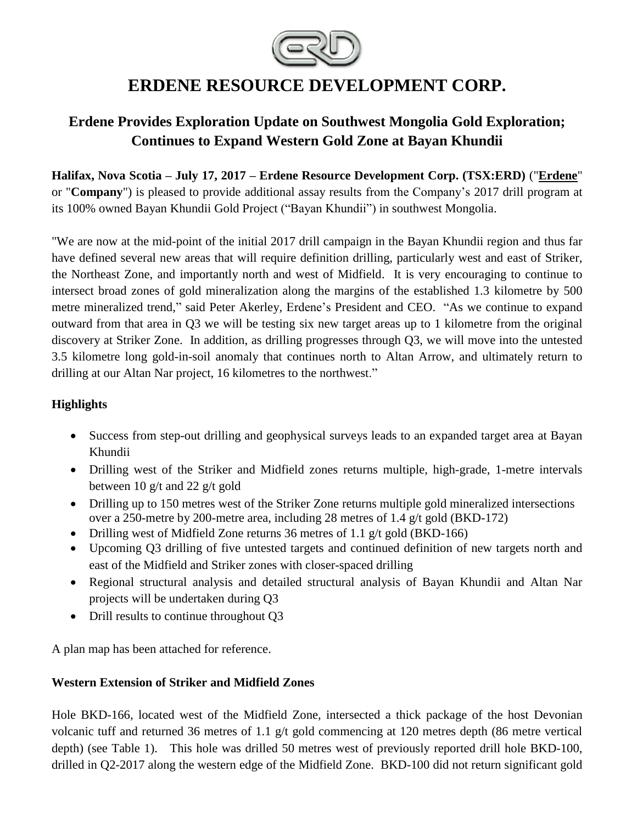

# **ERDENE RESOURCE DEVELOPMENT CORP.**

# **Erdene Provides Exploration Update on Southwest Mongolia Gold Exploration; Continues to Expand Western Gold Zone at Bayan Khundii**

**Halifax, Nova Scotia – July 17, 2017 – Erdene Resource Development Corp. (TSX:ERD)** ("**[Erdene](http://www.erdene.com/)**" or "**Company**") is pleased to provide additional assay results from the Company's 2017 drill program at its 100% owned Bayan Khundii Gold Project ("Bayan Khundii") in southwest Mongolia.

"We are now at the mid-point of the initial 2017 drill campaign in the Bayan Khundii region and thus far have defined several new areas that will require definition drilling, particularly west and east of Striker, the Northeast Zone, and importantly north and west of Midfield. It is very encouraging to continue to intersect broad zones of gold mineralization along the margins of the established 1.3 kilometre by 500 metre mineralized trend," said Peter Akerley, Erdene's President and CEO. "As we continue to expand outward from that area in Q3 we will be testing six new target areas up to 1 kilometre from the original discovery at Striker Zone. In addition, as drilling progresses through Q3, we will move into the untested 3.5 kilometre long gold-in-soil anomaly that continues north to Altan Arrow, and ultimately return to drilling at our Altan Nar project, 16 kilometres to the northwest."

# **Highlights**

- Success from step-out drilling and geophysical surveys leads to an expanded target area at Bayan Khundii
- Drilling west of the Striker and Midfield zones returns multiple, high-grade, 1-metre intervals between 10 g/t and 22 g/t gold
- Drilling up to 150 metres west of the Striker Zone returns multiple gold mineralized intersections over a 250-metre by 200-metre area, including 28 metres of 1.4 g/t gold (BKD-172)
- Drilling west of Midfield Zone returns 36 metres of 1.1 g/t gold (BKD-166)
- Upcoming Q3 drilling of five untested targets and continued definition of new targets north and east of the Midfield and Striker zones with closer-spaced drilling
- Regional structural analysis and detailed structural analysis of Bayan Khundii and Altan Nar projects will be undertaken during Q3
- Drill results to continue throughout Q3

A plan map has been attached for reference.

# **Western Extension of Striker and Midfield Zones**

Hole BKD-166, located west of the Midfield Zone, intersected a thick package of the host Devonian volcanic tuff and returned 36 metres of 1.1 g/t gold commencing at 120 metres depth (86 metre vertical depth) (see Table 1). This hole was drilled 50 metres west of previously reported drill hole BKD-100, drilled in Q2-2017 along the western edge of the Midfield Zone. BKD-100 did not return significant gold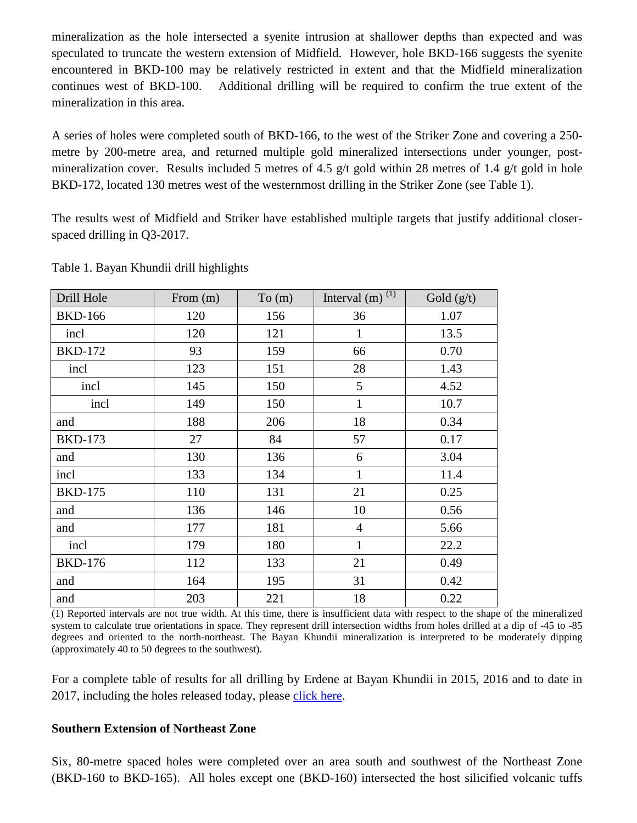mineralization as the hole intersected a syenite intrusion at shallower depths than expected and was speculated to truncate the western extension of Midfield. However, hole BKD-166 suggests the syenite encountered in BKD-100 may be relatively restricted in extent and that the Midfield mineralization continues west of BKD-100. Additional drilling will be required to confirm the true extent of the mineralization in this area.

A series of holes were completed south of BKD-166, to the west of the Striker Zone and covering a 250 metre by 200-metre area, and returned multiple gold mineralized intersections under younger, postmineralization cover. Results included 5 metres of 4.5  $g/t$  gold within 28 metres of 1.4  $g/t$  gold in hole BKD-172, located 130 metres west of the westernmost drilling in the Striker Zone (see Table 1).

The results west of Midfield and Striker have established multiple targets that justify additional closerspaced drilling in Q3-2017.

| Drill Hole     | From $(m)$ | To (m) | Interval $(m)$ <sup>(1)</sup> | Gold $(g/t)$ |
|----------------|------------|--------|-------------------------------|--------------|
| <b>BKD-166</b> | 120        | 156    | 36                            | 1.07         |
| incl           | 120        | 121    | $\mathbf{1}$                  | 13.5         |
| <b>BKD-172</b> | 93         | 159    | 66                            | 0.70         |
| incl           | 123        | 151    | 28                            | 1.43         |
| incl           | 145        | 150    | 5                             | 4.52         |
| incl           | 149        | 150    | $\mathbf{1}$                  | 10.7         |
| and            | 188        | 206    | 18                            | 0.34         |
| <b>BKD-173</b> | 27         | 84     | 57                            | 0.17         |
| and            | 130        | 136    | 6                             | 3.04         |
| incl           | 133        | 134    | $\mathbf{1}$                  | 11.4         |
| <b>BKD-175</b> | 110        | 131    | 21                            | 0.25         |
| and            | 136        | 146    | 10                            | 0.56         |
| and            | 177        | 181    | $\overline{4}$                | 5.66         |
| incl           | 179        | 180    | $\mathbf{1}$                  | 22.2         |
| <b>BKD-176</b> | 112        | 133    | 21                            | 0.49         |
| and            | 164        | 195    | 31                            | 0.42         |
| and            | 203        | 221    | 18                            | 0.22         |

Table 1. Bayan Khundii drill highlights

(1) Reported intervals are not true width. At this time, there is insufficient data with respect to the shape of the mineralized system to calculate true orientations in space. They represent drill intersection widths from holes drilled at a dip of -45 to -85 degrees and oriented to the north-northeast. The Bayan Khundii mineralization is interpreted to be moderately dipping (approximately 40 to 50 degrees to the southwest).

For a complete table of results for all drilling by Erdene at Bayan Khundii in 2015, 2016 and to date in 2017, including the holes released today, please [click](http://www.erdene.com/assets/pdf/2017/Bayan-Khundii-Drill-Results.pdf) here.

#### **Southern Extension of Northeast Zone**

Six, 80-metre spaced holes were completed over an area south and southwest of the Northeast Zone (BKD-160 to BKD-165). All holes except one (BKD-160) intersected the host silicified volcanic tuffs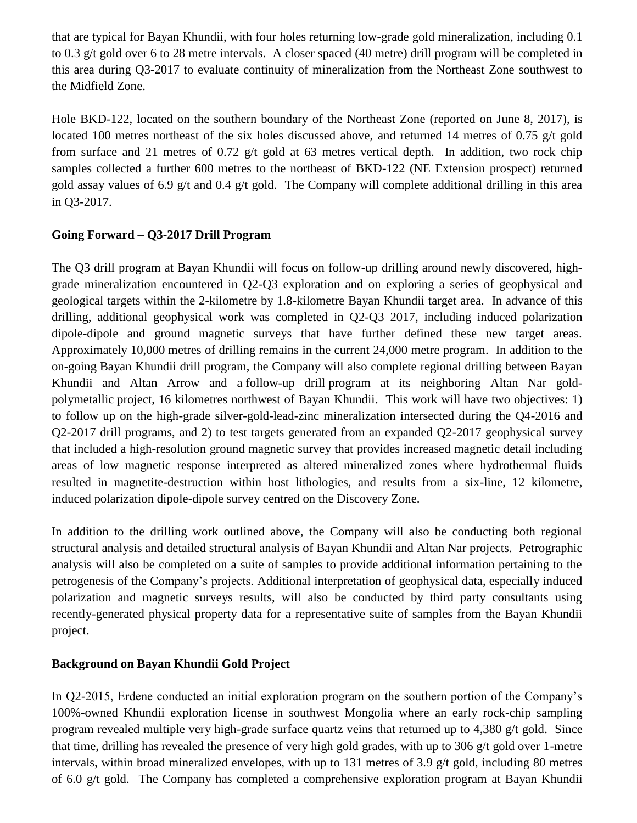that are typical for Bayan Khundii, with four holes returning low-grade gold mineralization, including 0.1 to 0.3 g/t gold over 6 to 28 metre intervals. A closer spaced (40 metre) drill program will be completed in this area during Q3-2017 to evaluate continuity of mineralization from the Northeast Zone southwest to the Midfield Zone.

Hole BKD-122, located on the southern boundary of the Northeast Zone (reported on June 8, 2017), is located 100 metres northeast of the six holes discussed above, and returned 14 metres of 0.75 g/t gold from surface and 21 metres of 0.72  $g/t$  gold at 63 metres vertical depth. In addition, two rock chip samples collected a further 600 metres to the northeast of BKD-122 (NE Extension prospect) returned gold assay values of 6.9 g/t and 0.4 g/t gold. The Company will complete additional drilling in this area in Q3-2017.

# **Going Forward – Q3-2017 Drill Program**

The Q3 drill program at Bayan Khundii will focus on follow-up drilling around newly discovered, highgrade mineralization encountered in Q2-Q3 exploration and on exploring a series of geophysical and geological targets within the 2-kilometre by 1.8-kilometre Bayan Khundii target area. In advance of this drilling, additional geophysical work was completed in Q2-Q3 2017, including induced polarization dipole-dipole and ground magnetic surveys that have further defined these new target areas. Approximately 10,000 metres of drilling remains in the current 24,000 metre program. In addition to the on-going Bayan Khundii drill program, the Company will also complete regional drilling between Bayan Khundii and Altan Arrow and a follow-up drill program at its neighboring Altan Nar goldpolymetallic project, 16 kilometres northwest of Bayan Khundii. This work will have two objectives: 1) to follow up on the high-grade silver-gold-lead-zinc mineralization intersected during the Q4-2016 and Q2-2017 drill programs, and 2) to test targets generated from an expanded Q2-2017 geophysical survey that included a high-resolution ground magnetic survey that provides increased magnetic detail including areas of low magnetic response interpreted as altered mineralized zones where hydrothermal fluids resulted in magnetite-destruction within host lithologies, and results from a six-line, 12 kilometre, induced polarization dipole-dipole survey centred on the Discovery Zone.

In addition to the drilling work outlined above, the Company will also be conducting both regional structural analysis and detailed structural analysis of Bayan Khundii and Altan Nar projects. Petrographic analysis will also be completed on a suite of samples to provide additional information pertaining to the petrogenesis of the Company's projects. Additional interpretation of geophysical data, especially induced polarization and magnetic surveys results, will also be conducted by third party consultants using recently-generated physical property data for a representative suite of samples from the Bayan Khundii project.

#### **Background on Bayan Khundii Gold Project**

In Q2-2015, Erdene conducted an initial exploration program on the southern portion of the Company's 100%-owned Khundii exploration license in southwest Mongolia where an early rock-chip sampling program revealed multiple very high-grade surface quartz veins that returned up to 4,380 g/t gold. Since that time, drilling has revealed the presence of very high gold grades, with up to 306 g/t gold over 1-metre intervals, within broad mineralized envelopes, with up to 131 metres of 3.9 g/t gold, including 80 metres of 6.0 g/t gold. The Company has completed a comprehensive exploration program at Bayan Khundii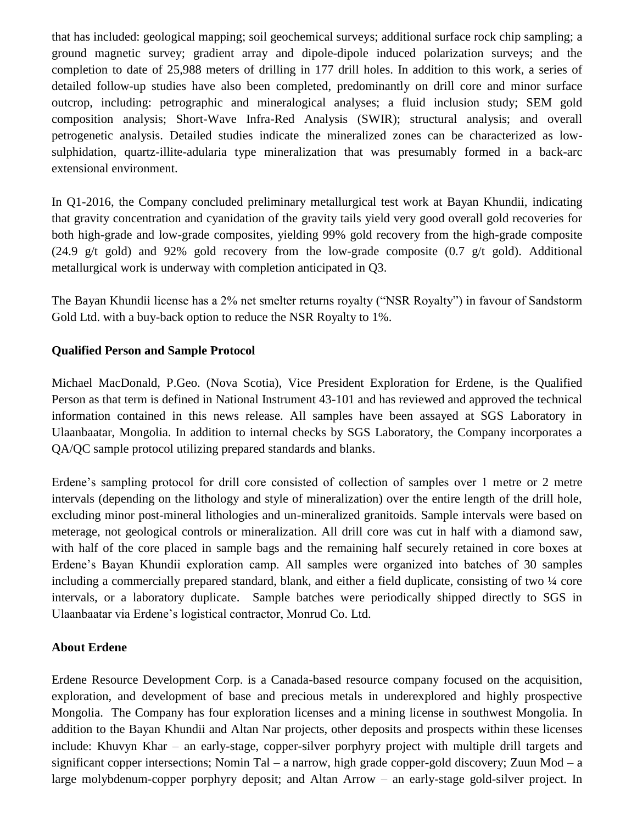that has included: geological mapping; soil geochemical surveys; additional surface rock chip sampling; a ground magnetic survey; gradient array and dipole-dipole induced polarization surveys; and the completion to date of 25,988 meters of drilling in 177 drill holes. In addition to this work, a series of detailed follow-up studies have also been completed, predominantly on drill core and minor surface outcrop, including: petrographic and mineralogical analyses; a fluid inclusion study; SEM gold composition analysis; Short-Wave Infra-Red Analysis (SWIR); structural analysis; and overall petrogenetic analysis. Detailed studies indicate the mineralized zones can be characterized as lowsulphidation, quartz-illite-adularia type mineralization that was presumably formed in a back-arc extensional environment.

In Q1-2016, the Company concluded preliminary metallurgical test work at Bayan Khundii, indicating that gravity concentration and cyanidation of the gravity tails yield very good overall gold recoveries for both high-grade and low-grade composites, yielding 99% gold recovery from the high-grade composite (24.9 g/t gold) and 92% gold recovery from the low-grade composite  $(0.7 \text{ g/t}$  gold). Additional metallurgical work is underway with completion anticipated in Q3.

The Bayan Khundii license has a 2% net smelter returns royalty ("NSR Royalty") in favour of Sandstorm Gold Ltd. with a buy-back option to reduce the NSR Royalty to 1%.

#### **Qualified Person and Sample Protocol**

Michael MacDonald, P.Geo. (Nova Scotia), Vice President Exploration for Erdene, is the Qualified Person as that term is defined in National Instrument 43-101 and has reviewed and approved the technical information contained in this news release. All samples have been assayed at SGS Laboratory in Ulaanbaatar, Mongolia. In addition to internal checks by SGS Laboratory, the Company incorporates a QA/QC sample protocol utilizing prepared standards and blanks.

Erdene's sampling protocol for drill core consisted of collection of samples over 1 metre or 2 metre intervals (depending on the lithology and style of mineralization) over the entire length of the drill hole, excluding minor post-mineral lithologies and un-mineralized granitoids. Sample intervals were based on meterage, not geological controls or mineralization. All drill core was cut in half with a diamond saw, with half of the core placed in sample bags and the remaining half securely retained in core boxes at Erdene's Bayan Khundii exploration camp. All samples were organized into batches of 30 samples including a commercially prepared standard, blank, and either a field duplicate, consisting of two ¼ core intervals, or a laboratory duplicate. Sample batches were periodically shipped directly to SGS in Ulaanbaatar via Erdene's logistical contractor, Monrud Co. Ltd.

#### **About Erdene**

Erdene Resource Development Corp. is a Canada-based resource company focused on the acquisition, exploration, and development of base and precious metals in underexplored and highly prospective Mongolia. The Company has four exploration licenses and a mining license in southwest Mongolia. In addition to the Bayan Khundii and Altan Nar projects, other deposits and prospects within these licenses include: Khuvyn Khar – an early-stage, copper-silver porphyry project with multiple drill targets and significant copper intersections; Nomin Tal – a narrow, high grade copper-gold discovery; Zuun Mod – a large molybdenum-copper porphyry deposit; and Altan Arrow – an early-stage gold-silver project. In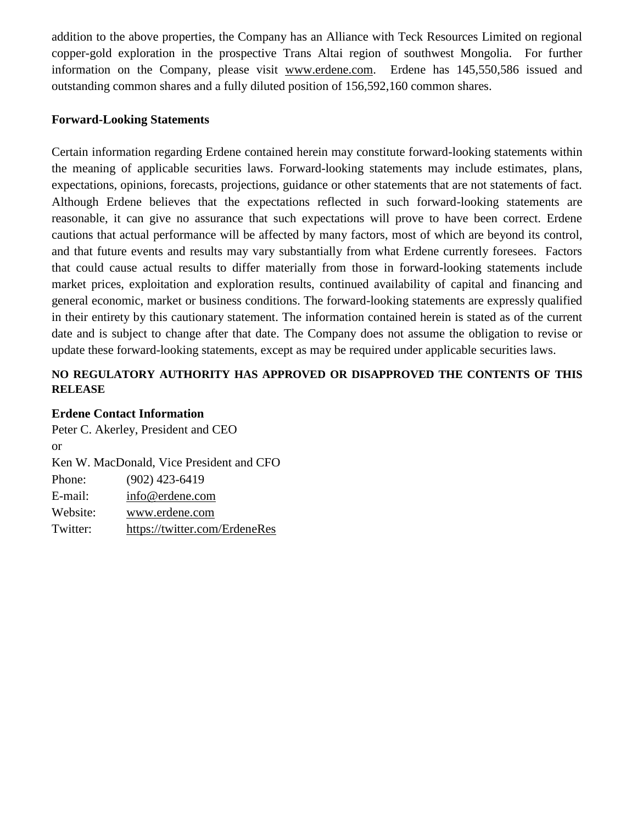addition to the above properties, the Company has an Alliance with Teck Resources Limited on regional copper-gold exploration in the prospective Trans Altai region of southwest Mongolia. For further information on the Company, please visit www.erdene.com. Erdene has 145,550,586 issued and outstanding common shares and a fully diluted position of 156,592,160 common shares.

#### **Forward-Looking Statements**

Certain information regarding Erdene contained herein may constitute forward-looking statements within the meaning of applicable securities laws. Forward-looking statements may include estimates, plans, expectations, opinions, forecasts, projections, guidance or other statements that are not statements of fact. Although Erdene believes that the expectations reflected in such forward-looking statements are reasonable, it can give no assurance that such expectations will prove to have been correct. Erdene cautions that actual performance will be affected by many factors, most of which are beyond its control, and that future events and results may vary substantially from what Erdene currently foresees. Factors that could cause actual results to differ materially from those in forward-looking statements include market prices, exploitation and exploration results, continued availability of capital and financing and general economic, market or business conditions. The forward-looking statements are expressly qualified in their entirety by this cautionary statement. The information contained herein is stated as of the current date and is subject to change after that date. The Company does not assume the obligation to revise or update these forward-looking statements, except as may be required under applicable securities laws.

### **NO REGULATORY AUTHORITY HAS APPROVED OR DISAPPROVED THE CONTENTS OF THIS RELEASE**

#### **Erdene Contact Information**

Peter C. Akerley, President and CEO or Ken W. MacDonald, Vice President and CFO Phone: (902) 423-6419 E-mail: [info@erdene.com](mailto:info@erdene.com) Website: [www.erdene.com](http://www.erdene.com/) Twitter: <https://twitter.com/ErdeneRes>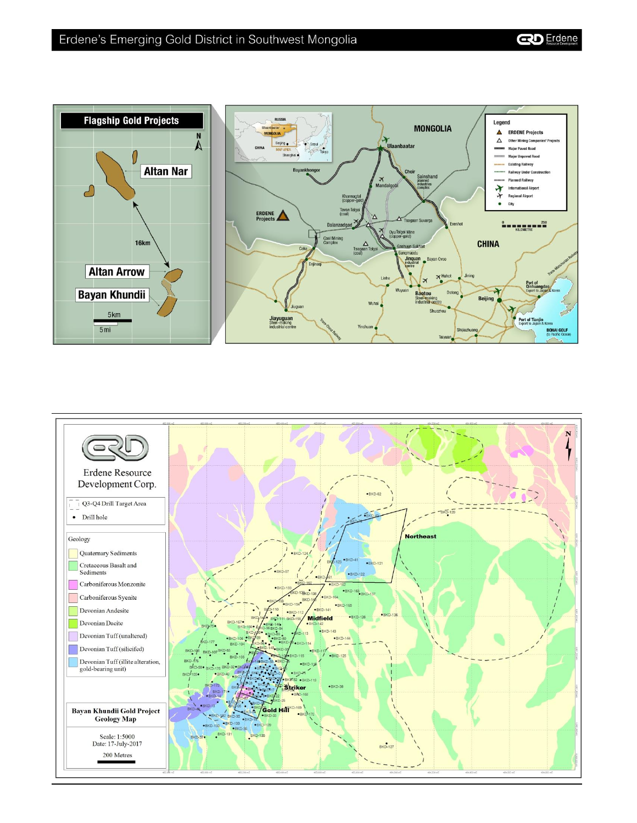